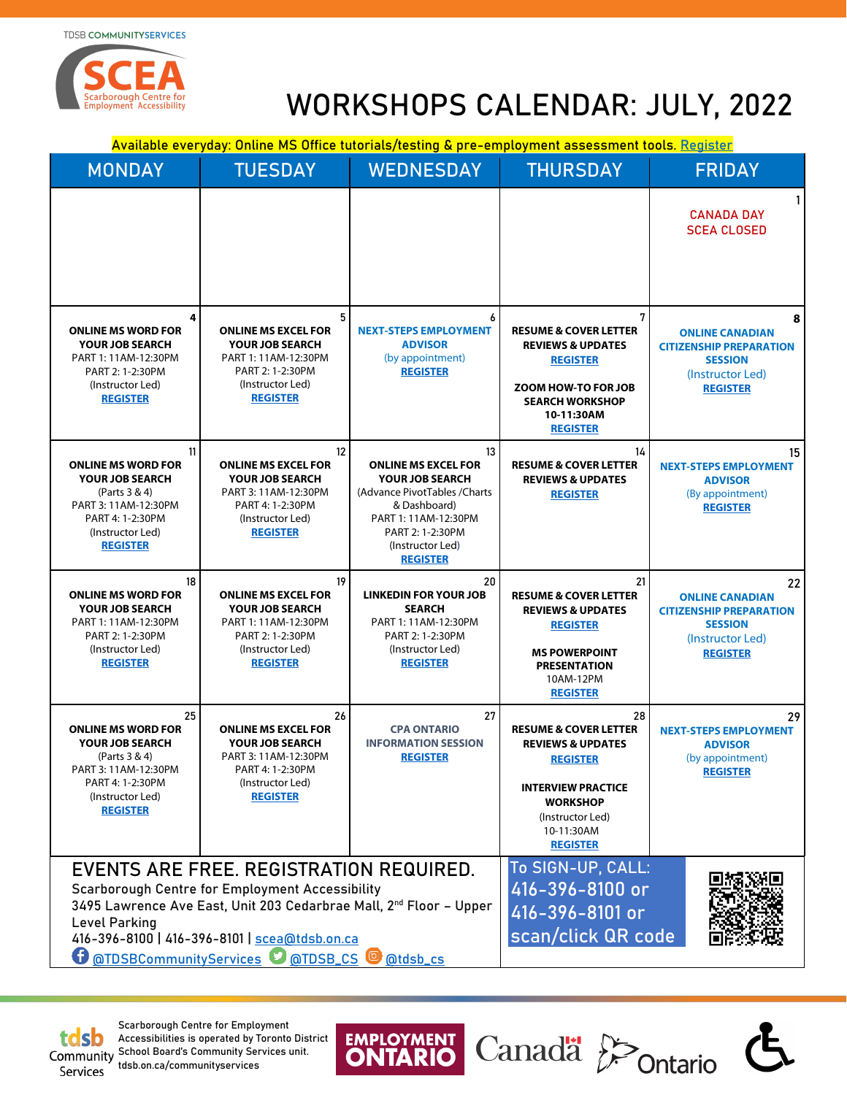**TDSB COMMUNITYSERVICES** 



# WORKSHOPS CALENDAR: JULY, 2022

Canadä<sup>2</sup>

Ġ

Available everyday: Online MS Office tutorials/testing & pre-employment assessment tools. [Register](https://forms.gle/C1SqrHxr4TgSMAn28)

| <b>MONDAY</b>                                                                                                                                                                                                                                                                                                        | <b>TUESDAY</b>                                                                                                                                | <b>WEDNESDAY</b>                                                                                                                                                                               | <b>THURSDAY</b>                                                                                                                                                                                | <b>FRIDAY</b>                                                                                                           |
|----------------------------------------------------------------------------------------------------------------------------------------------------------------------------------------------------------------------------------------------------------------------------------------------------------------------|-----------------------------------------------------------------------------------------------------------------------------------------------|------------------------------------------------------------------------------------------------------------------------------------------------------------------------------------------------|------------------------------------------------------------------------------------------------------------------------------------------------------------------------------------------------|-------------------------------------------------------------------------------------------------------------------------|
|                                                                                                                                                                                                                                                                                                                      |                                                                                                                                               |                                                                                                                                                                                                |                                                                                                                                                                                                | 1 <sup>1</sup><br><b>CANADA DAY</b><br><b>SCEA CLOSED</b>                                                               |
| 4<br><b>ONLINE MS WORD FOR</b><br><b>YOUR JOB SEARCH</b><br>PART 1: 11AM-12:30PM<br>PART 2: 1-2:30PM<br>(Instructor Led)<br><b>REGISTER</b>                                                                                                                                                                          | <b>ONLINE MS EXCEL FOR</b><br><b>YOUR JOB SEARCH</b><br>PART 1: 11AM-12:30PM<br>PART 2: 1-2:30PM<br>(Instructor Led)<br><b>REGISTER</b>       | <b>NEXT-STEPS EMPLOYMENT</b><br><b>ADVISOR</b><br>(by appointment)<br><b>REGISTER</b>                                                                                                          | <b>RESUME &amp; COVER LETTER</b><br><b>REVIEWS &amp; UPDATES</b><br><b>REGISTER</b><br>ZOOM HOW-TO FOR JOB<br><b>SEARCH WORKSHOP</b><br>10-11:30AM<br><b>REGISTER</b>                          | 8<br><b>ONLINE CANADIAN</b><br><b>CITIZENSHIP PREPARATION</b><br><b>SESSION</b><br>(Instructor Led)<br><b>REGISTER</b>  |
| 11<br><b>ONLINE MS WORD FOR</b><br><b>YOUR JOB SEARCH</b><br>(Parts 3 & 4)<br>PART 3: 11AM-12:30PM<br>PART 4: 1-2:30PM<br>(Instructor Led)<br><b>REGISTER</b>                                                                                                                                                        | 12<br><b>ONLINE MS EXCEL FOR</b><br><b>YOUR JOB SEARCH</b><br>PART 3: 11AM-12:30PM<br>PART 4: 1-2:30PM<br>(Instructor Led)<br><b>REGISTER</b> | 13<br><b>ONLINE MS EXCEL FOR</b><br><b>YOUR JOB SEARCH</b><br>(Advance PivotTables / Charts<br>& Dashboard)<br>PART 1: 11AM-12:30PM<br>PART 2: 1-2:30PM<br>(Instructor Led)<br><b>REGISTER</b> | 14<br><b>RESUME &amp; COVER LETTER</b><br><b>REVIEWS &amp; UPDATES</b><br><b>REGISTER</b>                                                                                                      | 15<br><b>NEXT-STEPS EMPLOYMENT</b><br><b>ADVISOR</b><br>(By appointment)<br><b>REGISTER</b>                             |
| 18<br><b>ONLINE MS WORD FOR</b><br><b>YOUR JOB SEARCH</b><br>PART 1: 11AM-12:30PM<br>PART 2: 1-2:30PM<br>(Instructor Led)<br><b>REGISTER</b>                                                                                                                                                                         | 19<br><b>ONLINE MS EXCEL FOR</b><br><b>YOUR JOB SEARCH</b><br>PART 1: 11AM-12:30PM<br>PART 2: 1-2:30PM<br>(Instructor Led)<br><b>REGISTER</b> | 20<br><b>LINKEDIN FOR YOUR JOB</b><br><b>SEARCH</b><br>PART 1: 11AM-12:30PM<br>PART 2: 1-2:30PM<br>(Instructor Led)<br><b>REGISTER</b>                                                         | 21<br><b>RESUME &amp; COVER LETTER</b><br><b>REVIEWS &amp; UPDATES</b><br><b>REGISTER</b><br><b>MS POWERPOINT</b><br><b>PRESENTATION</b><br>10AM-12PM<br><b>REGISTER</b>                       | 22<br><b>ONLINE CANADIAN</b><br><b>CITIZENSHIP PREPARATION</b><br><b>SESSION</b><br>(Instructor Led)<br><b>REGISTER</b> |
| 25<br><b>ONLINE MS WORD FOR</b><br><b>YOUR JOB SEARCH</b><br>(Parts 3 & 4)<br>PART 3: 11AM-12:30PM<br>PART 4: 1-2:30PM<br>(Instructor Led)<br><b>REGISTER</b>                                                                                                                                                        | 26<br><b>ONLINE MS EXCEL FOR</b><br><b>YOUR JOB SEARCH</b><br>PART 3: 11AM-12:30PM<br>PART 4: 1-2:30PM<br>(Instructor Led)<br><b>REGISTER</b> | 27<br><b>CPA ONTARIO</b><br><b>INFORMATION SESSION</b><br><b>REGISTER</b>                                                                                                                      | 28<br><b>RESUME &amp; COVER LETTER</b><br><b>REVIEWS &amp; UPDATES</b><br><b>REGISTER</b><br><b>INTERVIEW PRACTICE</b><br><b>WORKSHOP</b><br>(Instructor Led)<br>10-11:30AM<br><b>REGISTER</b> | 29<br><b>NEXT-STEPS EMPLOYMENT</b><br><b>ADVISOR</b><br>(by appointment)<br><b>REGISTER</b>                             |
| EVENTS ARE FREE. REGISTRATION REQUIRED.<br><b>Scarborough Centre for Employment Accessibility</b><br>3495 Lawrence Ave East, Unit 203 Cedarbrae Mall, 2 <sup>nd</sup> Floor - Upper<br>Level Parking<br>416-396-8100   416-396-8101   scea@tdsb.on.ca<br>G<br><b>@TDSBCommunityServices @ @TDSB_CS @</b><br>@tdsb_cs |                                                                                                                                               |                                                                                                                                                                                                | To SIGN-UP, CALL:<br>416-396-8100 or<br>416-396-8101 or<br>scan/click QR code                                                                                                                  |                                                                                                                         |

**EMPLOYMENT** 

OI



Services

Scarborough Centre for Employment Accessibilities is operated by Toronto District **Community School Board's Community Services unit.** tdsb.on.ca/communityservices